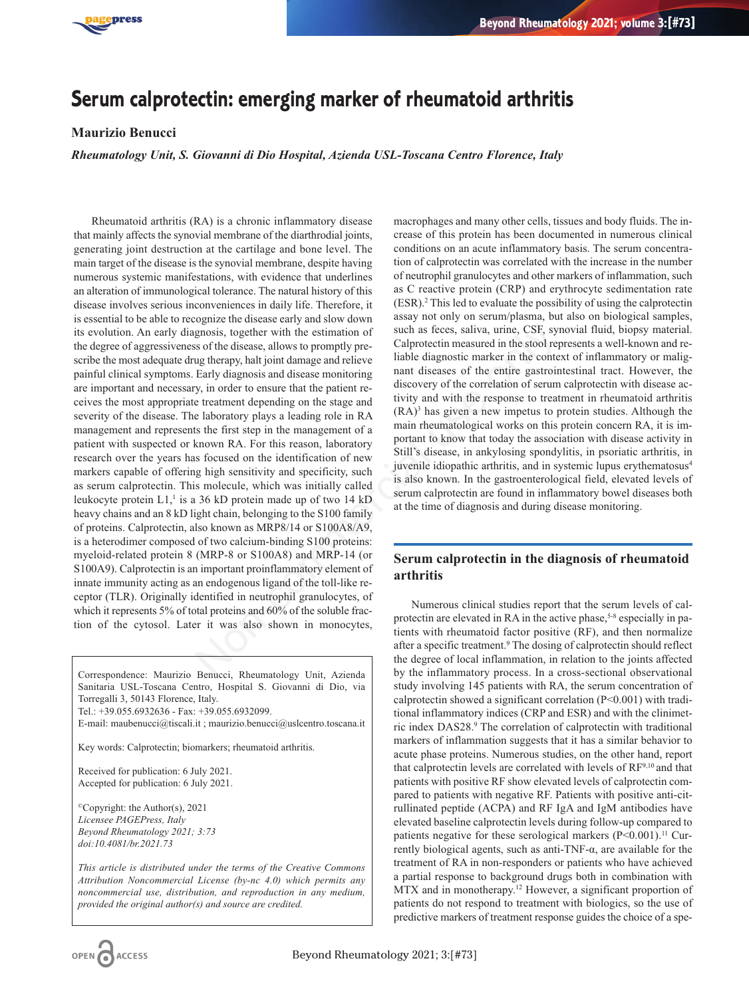

# **Serum calprotectin: emerging marker of rheumatoid arthritis**

## **Maurizio Benucci**

*Rheumatology Unit, S. Giovanni di Dio Hospital, Azienda USL-Toscana Centro Florence, Italy*

Rheumatoid arthritis (RA) is a chronic inflammatory disease that mainly affects the synovial membrane of the diarthrodial joints, generating joint destruction at the cartilage and bone level. The main target of the disease is the synovial membrane, despite having numerous systemic manifestations, with evidence that underlines an alteration of immunological tolerance. The natural history of this disease involves serious inconveniences in daily life. Therefore, it is essential to be able to recognize the disease early and slow down its evolution. An early diagnosis, together with the estimation of the degree of aggressiveness of the disease, allows to promptly prescribe the most adequate drug therapy, halt joint damage and relieve painful clinical symptoms. Early diagnosis and disease monitoring are important and necessary, in order to ensure that the patient receives the most appropriate treatment depending on the stage and severity of the disease. The laboratory plays a leading role in RA management and represents the first step in the management of a patient with suspected or known RA. For this reason, laboratory research over the years has focused on the identification of new markers capable of offering high sensitivity and specificity, such as serum calprotectin. This molecule, which was initially called leukocyte protein  $L1$ ,<sup>1</sup> is a 36 kD protein made up of two 14 kD heavy chains and an 8 kD light chain, belonging to the S100 family of proteins. Calprotectin, also known as MRP8/14 or S100A8/A9, is a heterodimer composed of two calcium-binding S100 proteins: myeloid-related protein 8 (MRP-8 or S100A8) and MRP-14 (or S100A9). Calprotectin is an important proinflammatory element of innate immunity acting as an endogenous ligand of the toll-like receptor (TLR). Originally identified in neutrophil granulocytes, of which it represents 5% of total proteins and 60% of the soluble fraction of the cytosol. Later it was also shown in monocytes, gnosis, together with the estimation of<br>such as feces, saliva, urine, CSF, sy<br>so fthe disease, allows to promptly pre-<br>diprotectim measured in the stool regular field in the stool regular<br>graphy, halt joint damage and rel

Correspondence: Maurizio Benucci, Rheumatology Unit, Azienda Sanitaria USL-Toscana Centro, Hospital S. Giovanni di Dio, via Torregalli 3, 50143 Florence, Italy.

Tel.: +39.055.6932636 - Fax: +39.055.6932099.

E-mail: maubenucci@tiscali.it ; maurizio.benucci@uslcentro.toscana.it

Key words: Calprotectin; biomarkers; rheumatoid arthritis.

Received for publication: 6 July 2021. Accepted for publication: 6 July 2021.

©Copyright: the Author(s), 2021 *Licensee PAGEPress, Italy Beyond Rheumatology 2021; 3:73 doi:10.4081/br.2021.73*

*This article is distributed under the terms of the Creative Commons Attribution Noncommercial License (by-nc 4.0) which permits any noncommercial use, distribution, and reproduction in any medium, provided the original author(s) and source are credited.*

macrophages and many other cells, tissues and body fluids. The increase of this protein has been documented in numerous clinical conditions on an acute inflammatory basis. The serum concentration of calprotectin was correlated with the increase in the number of neutrophil granulocytes and other markers of inflammation, such as C reactive protein (CRP) and erythrocyte sedimentation rate (ESR).2 This led to evaluate the possibility of using the calprotectin assay not only on serum/plasma, but also on biological samples, such as feces, saliva, urine, CSF, synovial fluid, biopsy material. Calprotectin measured in the stool represents a well-known and reliable diagnostic marker in the context of inflammatory or malignant diseases of the entire gastrointestinal tract. However, the discovery of the correlation of serum calprotectin with disease activity and with the response to treatment in rheumatoid arthritis (RA)3 has given a new impetus to protein studies. Although the main rheumatological works on this protein concern RA, it is important to know that today the association with disease activity in Still's disease, in ankylosing spondylitis, in psoriatic arthritis, in juvenile idiopathic arthritis, and in systemic lupus erythematosus<sup>4</sup> is also known. In the gastroenterological field, elevated levels of serum calprotectin are found in inflammatory bowel diseases both at the time of diagnosis and during disease monitoring.

# **Serum calprotectin in the diagnosis of rheumatoid arthritis**

Numerous clinical studies report that the serum levels of calprotectin are elevated in RA in the active phase,<sup>5-8</sup> especially in patients with rheumatoid factor positive (RF), and then normalize after a specific treatment.9 The dosing of calprotectin should reflect the degree of local inflammation, in relation to the joints affected by the inflammatory process. In a cross-sectional observational study involving 145 patients with RA, the serum concentration of calprotectin showed a significant correlation (P<0.001) with traditional inflammatory indices (CRP and ESR) and with the clinimetric index DAS28.9 The correlation of calprotectin with traditional markers of inflammation suggests that it has a similar behavior to acute phase proteins. Numerous studies, on the other hand, report that calprotectin levels are correlated with levels of  $RF^{9,10}$  and that patients with positive RF show elevated levels of calprotectin compared to patients with negative RF. Patients with positive anti-citrullinated peptide (ACPA) and RF IgA and IgM antibodies have elevated baseline calprotectin levels during follow-up compared to patients negative for these serological markers  $(P<0.001)$ .<sup>11</sup> Currently biological agents, such as anti-TNF-α, are available for the treatment of RA in non-responders or patients who have achieved a partial response to background drugs both in combination with MTX and in monotherapy.12 However, a significant proportion of patients do not respond to treatment with biologics, so the use of predictive markers of treatment response guides the choice of a spe-